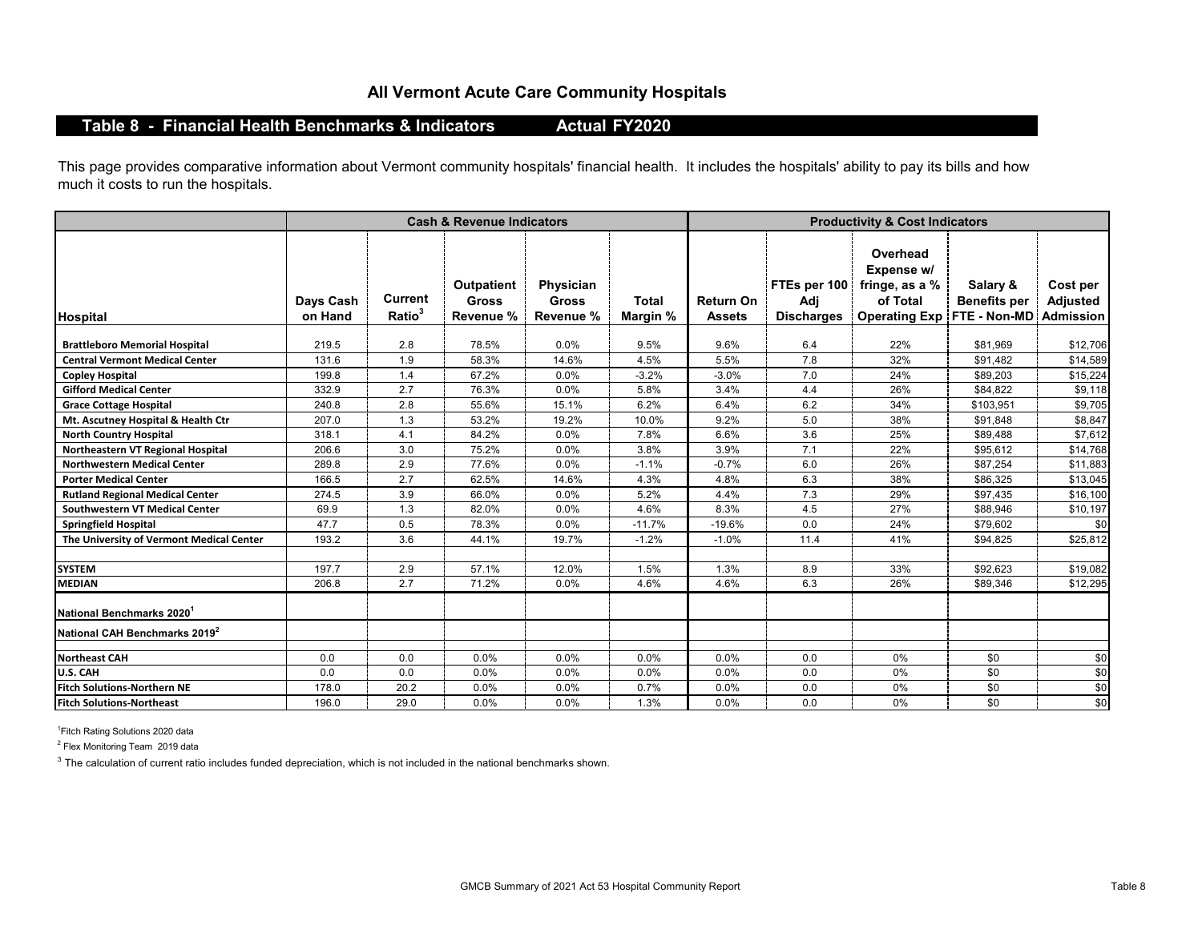## **All Vermont Acute Care Community Hospitals**

# **Table 8 - Financial Health Benchmarks & Indicators**

**Actual FY2020**

This page provides comparative information about Vermont community hospitals' financial health. It includes the hospitals' ability to pay its bills and how much it costs to run the hospitals.

|                                           | <b>Cash &amp; Revenue Indicators</b> |                                      |                                                |                                        |                          | <b>Productivity &amp; Cost Indicators</b> |                                          |                                                                              |                                                 |                                                 |  |
|-------------------------------------------|--------------------------------------|--------------------------------------|------------------------------------------------|----------------------------------------|--------------------------|-------------------------------------------|------------------------------------------|------------------------------------------------------------------------------|-------------------------------------------------|-------------------------------------------------|--|
| <b>Hospital</b>                           | Days Cash<br>on Hand                 | <b>Current</b><br>Ratio <sup>3</sup> | <b>Outpatient</b><br><b>Gross</b><br>Revenue % | Physician<br><b>Gross</b><br>Revenue % | <b>Total</b><br>Margin % | Return On<br><b>Assets</b>                | FTEs per 100<br>Adj<br><b>Discharges</b> | Overhead<br>Expense w/<br>fringe, as a %<br>of Total<br><b>Operating Exp</b> | Salary &<br><b>Benefits per</b><br>FTE - Non-MD | Cost per<br><b>Adjusted</b><br><b>Admission</b> |  |
| <b>Brattleboro Memorial Hospital</b>      | 219.5                                | 2.8                                  | 78.5%                                          | 0.0%                                   | 9.5%                     | 9.6%                                      | 6.4                                      | 22%                                                                          | \$81,969                                        | \$12,706                                        |  |
| <b>Central Vermont Medical Center</b>     | 131.6                                | 1.9                                  | 58.3%                                          | 14.6%                                  | 4.5%                     | 5.5%                                      | 7.8                                      | 32%                                                                          | \$91,482                                        | \$14,589                                        |  |
| <b>Copley Hospital</b>                    | 199.8                                | 1.4                                  | 67.2%                                          | 0.0%                                   | $-3.2%$                  | $-3.0%$                                   | 7.0                                      | 24%                                                                          | \$89,203                                        | \$15,224                                        |  |
| <b>Gifford Medical Center</b>             | 332.9                                | 2.7                                  | 76.3%                                          | 0.0%                                   | 5.8%                     | 3.4%                                      | 4.4                                      | 26%                                                                          | \$84,822                                        | \$9,118                                         |  |
| <b>Grace Cottage Hospital</b>             | 240.8                                | 2.8                                  | 55.6%                                          | 15.1%                                  | 6.2%                     | 6.4%                                      | 6.2                                      | 34%                                                                          | \$103,951                                       | \$9,705                                         |  |
| Mt. Ascutney Hospital & Health Ctr        | 207.0                                | 1.3                                  | 53.2%                                          | 19.2%                                  | 10.0%                    | 9.2%                                      | 5.0                                      | 38%                                                                          | \$91,848                                        | \$8,847                                         |  |
| <b>North Country Hospital</b>             | 318.1                                | 4.1                                  | 84.2%                                          | 0.0%                                   | 7.8%                     | 6.6%                                      | 3.6                                      | 25%                                                                          | \$89,488                                        | \$7,612                                         |  |
| Northeastern VT Regional Hospital         | 206.6                                | 3.0                                  | 75.2%                                          | 0.0%                                   | 3.8%                     | 3.9%                                      | 7.1                                      | 22%                                                                          | \$95,612                                        | \$14,768                                        |  |
| <b>Northwestern Medical Center</b>        | 289.8                                | 2.9                                  | 77.6%                                          | 0.0%                                   | $-1.1%$                  | $-0.7%$                                   | 6.0                                      | 26%                                                                          | \$87.254                                        | \$11,883                                        |  |
| <b>Porter Medical Center</b>              | 166.5                                | 2.7                                  | 62.5%                                          | 14.6%                                  | 4.3%                     | 4.8%                                      | 6.3                                      | 38%                                                                          | \$86,325                                        | \$13,045                                        |  |
| <b>Rutland Regional Medical Center</b>    | 274.5                                | 3.9                                  | 66.0%                                          | 0.0%                                   | 5.2%                     | 4.4%                                      | 7.3                                      | 29%                                                                          | \$97,435                                        | \$16,100                                        |  |
| <b>Southwestern VT Medical Center</b>     | 69.9                                 | 1.3                                  | 82.0%                                          | 0.0%                                   | 4.6%                     | 8.3%                                      | 4.5                                      | 27%                                                                          | \$88,946                                        | \$10,197                                        |  |
| <b>Springfield Hospital</b>               | 47.7                                 | 0.5                                  | 78.3%                                          | 0.0%                                   | $-11.7%$                 | $-19.6%$                                  | 0.0                                      | 24%                                                                          | \$79,602                                        | \$0                                             |  |
| The University of Vermont Medical Center  | 193.2                                | 3.6                                  | 44.1%                                          | 19.7%                                  | $-1.2%$                  | $-1.0%$                                   | 11.4                                     | 41%                                                                          | \$94,825                                        | \$25,812                                        |  |
| <b>SYSTEM</b>                             | 197.7                                | 2.9                                  | 57.1%                                          | 12.0%                                  | 1.5%                     | 1.3%                                      | 8.9                                      | 33%                                                                          | \$92,623                                        | \$19,082                                        |  |
| <b>MEDIAN</b>                             | 206.8                                | 2.7                                  | 71.2%                                          | $0.0\%$                                | 4.6%                     | 4.6%                                      | 6.3                                      | 26%                                                                          | \$89,346                                        | \$12,295                                        |  |
| National Benchmarks 2020                  |                                      |                                      |                                                |                                        |                          |                                           |                                          |                                                                              |                                                 |                                                 |  |
| National CAH Benchmarks 2019 <sup>2</sup> |                                      |                                      |                                                |                                        |                          |                                           |                                          |                                                                              |                                                 |                                                 |  |
| <b>Northeast CAH</b>                      | 0.0                                  | 0.0                                  | 0.0%                                           | 0.0%                                   | 0.0%                     | 0.0%                                      | 0.0                                      | 0%                                                                           | \$0                                             | \$0                                             |  |
| U.S. CAH                                  | 0.0                                  | 0.0                                  | 0.0%                                           | $0.0\%$                                | 0.0%                     | 0.0%                                      | 0.0                                      | 0%                                                                           | \$0                                             | \$0                                             |  |
| <b>Fitch Solutions-Northern NE</b>        | 178.0                                | 20.2                                 | 0.0%                                           | 0.0%                                   | 0.7%                     | 0.0%                                      | 0.0                                      | $0\%$                                                                        | \$0                                             | \$0                                             |  |
| <b>Fitch Solutions-Northeast</b>          | 196.0                                | 29.0                                 | 0.0%                                           | 0.0%                                   | 1.3%                     | 0.0%                                      | 0.0                                      | 0%                                                                           | \$0                                             | \$0                                             |  |

<sup>1</sup> Fitch Rating Solutions 2020 data

 $^2$  Flex Monitoring Team 2019 data

 $3$  The calculation of current ratio includes funded depreciation, which is not included in the national benchmarks shown.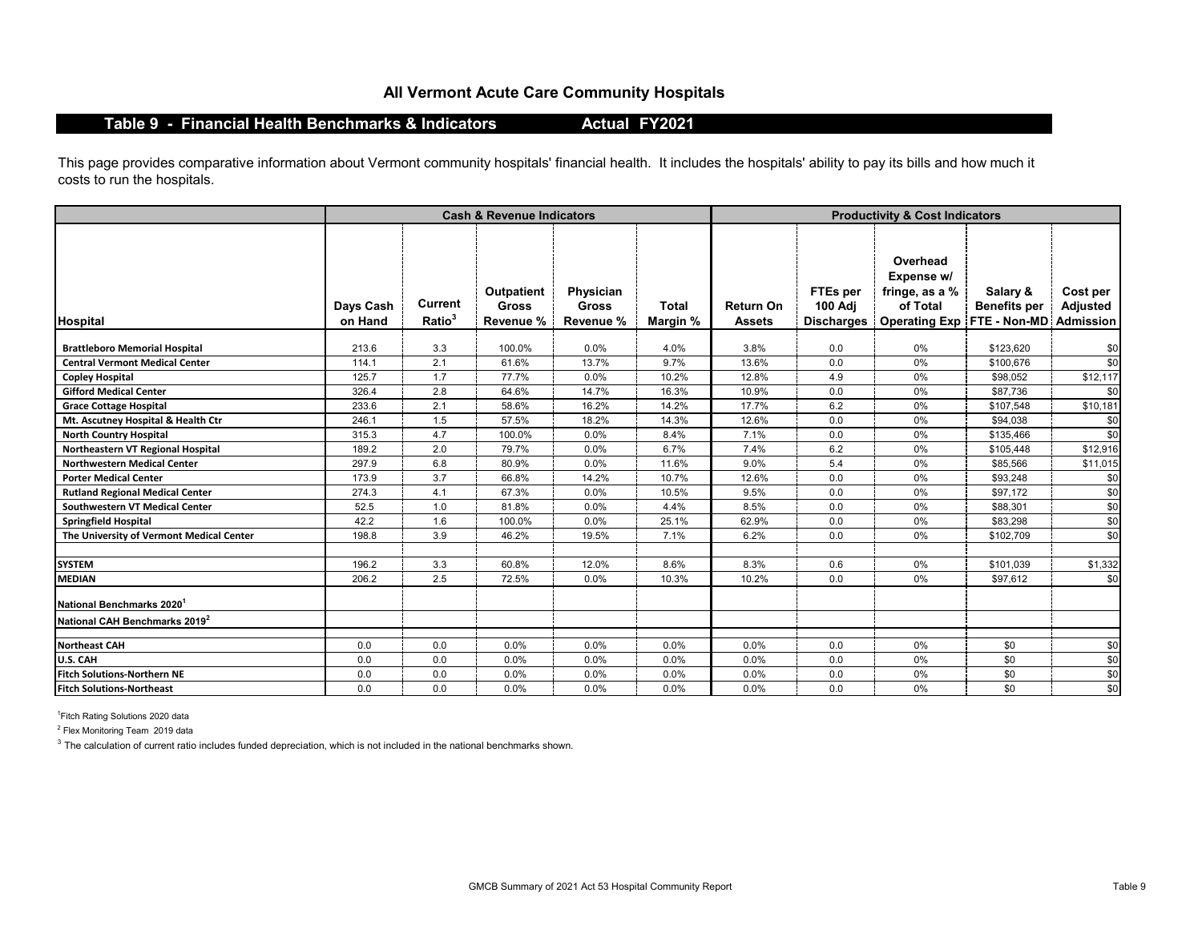### **All Vermont Acute Care Community Hospitals**

#### **Table 9 - Financial Health Benchmarks & Indicators**

**Actual FY2021**

This page provides comparative information about Vermont community hospitals' financial health. It includes the hospitals' ability to pay its bills and how much it costs to run the hospitals.

|                                           |                      |                               | <b>Cash &amp; Revenue Indicators</b>    |                                        |                          | <b>Productivity &amp; Cost Indicators</b> |                                                 |                                                                                                         |                                 |                      |  |
|-------------------------------------------|----------------------|-------------------------------|-----------------------------------------|----------------------------------------|--------------------------|-------------------------------------------|-------------------------------------------------|---------------------------------------------------------------------------------------------------------|---------------------------------|----------------------|--|
| <b>Hospital</b>                           | Days Cash<br>on Hand | Current<br>Ratio <sup>3</sup> | Outpatient<br><b>Gross</b><br>Revenue % | Physician<br><b>Gross</b><br>Revenue % | <b>Total</b><br>Margin % | <b>Return On</b><br><b>Assets</b>         | FTEs per<br><b>100 Adj</b><br><b>Discharges</b> | Overhead<br>Expense w/<br>fringe, as a %<br>of Total<br><b>Operating Exp   FTE - Non-MD   Admission</b> | Salary &<br><b>Benefits per</b> | Cost per<br>Adjusted |  |
| <b>Brattleboro Memorial Hospital</b>      | 213.6                | 3.3                           | 100.0%                                  | 0.0%                                   | 4.0%                     | 3.8%                                      | 0.0                                             | 0%                                                                                                      | \$123,620                       | \$0                  |  |
| <b>Central Vermont Medical Center</b>     | 114.1                | 2.1                           | 61.6%                                   | 13.7%                                  | 9.7%                     | 13.6%                                     | 0.0                                             | 0%                                                                                                      | \$100,676                       | \$0                  |  |
| <b>Copley Hospital</b>                    | 125.7                | 1.7                           | 77.7%                                   | 0.0%                                   | 10.2%                    | 12.8%                                     | 4.9                                             | 0%                                                                                                      | \$98,052                        | \$12,117             |  |
| <b>Gifford Medical Center</b>             | 326.4                | 2.8                           | 64.6%                                   | 14.7%                                  | 16.3%                    | 10.9%                                     | 0.0                                             | 0%                                                                                                      | \$87,736                        | \$0                  |  |
| <b>Grace Cottage Hospital</b>             | 233.6                | 2.1                           | 58.6%                                   | 16.2%                                  | 14.2%                    | 17.7%                                     | 6.2                                             | $0\%$                                                                                                   | \$107,548                       | \$10,181             |  |
| Mt. Ascutney Hospital & Health Ctr        | 246.1                | 1.5                           | 57.5%                                   | 18.2%                                  | 14.3%                    | 12.6%                                     | 0.0                                             | 0%                                                                                                      | \$94,038                        | \$0                  |  |
| <b>North Country Hospital</b>             | 315.3                | 4.7                           | 100.0%                                  | 0.0%                                   | 8.4%                     | 7.1%                                      | 0.0                                             | 0%                                                                                                      | \$135,466                       | \$0                  |  |
| Northeastern VT Regional Hospital         | 189.2                | 2.0                           | 79.7%                                   | 0.0%                                   | 6.7%                     | 7.4%                                      | 6.2                                             | 0%                                                                                                      | \$105,448                       | \$12,916             |  |
| <b>Northwestern Medical Center</b>        | 297.9                | 6.8                           | 80.9%                                   | 0.0%                                   | 11.6%                    | 9.0%                                      | 5.4                                             | 0%                                                                                                      | \$85,566                        | \$11,015             |  |
| <b>Porter Medical Center</b>              | 173.9                | 3.7                           | 66.8%                                   | 14.2%                                  | 10.7%                    | 12.6%                                     | 0.0                                             | 0%                                                                                                      | \$93,248                        | \$0                  |  |
| <b>Rutland Regional Medical Center</b>    | 274.3                | 4.1                           | 67.3%                                   | 0.0%                                   | 10.5%                    | 9.5%                                      | 0.0                                             | $0\%$                                                                                                   | \$97,172                        | \$0                  |  |
| <b>Southwestern VT Medical Center</b>     | 52.5                 | 1.0                           | 81.8%                                   | 0.0%                                   | 4.4%                     | 8.5%                                      | 0.0                                             | 0%                                                                                                      | \$88,301                        | \$0                  |  |
| <b>Springfield Hospital</b>               | 42.2                 | 1.6                           | 100.0%                                  | 0.0%                                   | 25.1%                    | 62.9%                                     | 0.0                                             | 0%                                                                                                      | \$83,298                        | \$0                  |  |
| The University of Vermont Medical Center  | 198.8                | 3.9                           | 46.2%                                   | 19.5%                                  | 7.1%                     | 6.2%                                      | 0.0                                             | 0%                                                                                                      | \$102,709                       | \$0                  |  |
| <b>SYSTEM</b>                             | 196.2                | 3.3                           | 60.8%                                   | 12.0%                                  | 8.6%                     | 8.3%                                      | 0.6                                             | 0%                                                                                                      | \$101.039                       | \$1,332              |  |
| <b>MEDIAN</b>                             | 206.2                | 2.5                           | 72.5%                                   | 0.0%                                   | 10.3%                    | 10.2%                                     | 0.0                                             | 0%                                                                                                      | \$97,612                        | \$0                  |  |
| National Benchmarks 2020 <sup>1</sup>     |                      |                               |                                         |                                        |                          |                                           |                                                 |                                                                                                         |                                 |                      |  |
| National CAH Benchmarks 2019 <sup>2</sup> |                      |                               |                                         |                                        |                          |                                           |                                                 |                                                                                                         |                                 |                      |  |
| <b>Northeast CAH</b>                      | 0.0                  | 0.0                           | 0.0%                                    | 0.0%                                   | 0.0%                     | 0.0%                                      | 0.0                                             | 0%                                                                                                      | \$0                             | \$0                  |  |
| U.S. CAH                                  | 0.0                  | 0.0                           | 0.0%                                    | 0.0%                                   | 0.0%                     | 0.0%                                      | 0.0                                             | 0%                                                                                                      | \$0                             | \$0                  |  |
| <b>Fitch Solutions-Northern NE</b>        | 0.0                  | 0.0                           | 0.0%                                    | 0.0%                                   | 0.0%                     | 0.0%                                      | 0.0                                             | 0%                                                                                                      | \$0                             | \$0                  |  |
| <b>Fitch Solutions-Northeast</b>          | 0.0                  | 0.0                           | 0.0%                                    | 0.0%                                   | 0.0%                     | 0.0%                                      | 0.0                                             | 0%                                                                                                      | \$0                             | \$0                  |  |

<sup>1</sup> Fitch Rating Solutions 2020 data

<sup>2</sup> Flex Monitoring Team 2019 data

 $3$  The calculation of current ratio includes funded depreciation, which is not included in the national benchmarks shown.